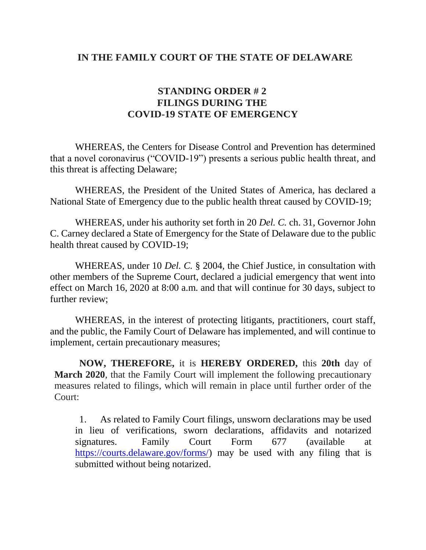## **IN THE FAMILY COURT OF THE STATE OF DELAWARE**

## **STANDING ORDER # 2 FILINGS DURING THE COVID-19 STATE OF EMERGENCY**

WHEREAS, the Centers for Disease Control and Prevention has determined that a novel coronavirus ("COVID-19") presents a serious public health threat, and this threat is affecting Delaware;

WHEREAS, the President of the United States of America, has declared a National State of Emergency due to the public health threat caused by COVID-19;

WHEREAS, under his authority set forth in 20 *Del. C.* ch. 31, Governor John C. Carney declared a State of Emergency for the State of Delaware due to the public health threat caused by COVID-19;

WHEREAS, under 10 *Del. C.* § 2004, the Chief Justice, in consultation with other members of the Supreme Court, declared a judicial emergency that went into effect on March 16, 2020 at 8:00 a.m. and that will continue for 30 days, subject to further review;

WHEREAS, in the interest of protecting litigants, practitioners, court staff, and the public, the Family Court of Delaware has implemented, and will continue to implement, certain precautionary measures;

**NOW, THEREFORE,** it is **HEREBY ORDERED,** this **20th** day of **March 2020**, that the Family Court will implement the following precautionary measures related to filings, which will remain in place until further order of the Court:

1. As related to Family Court filings, unsworn declarations may be used in lieu of verifications, sworn declarations, affidavits and notarized signatures. Family Court Form 677 (available at [https://courts.delaware.gov/forms/\)](https://courts.delaware.gov/forms/) may be used with any filing that is submitted without being notarized.